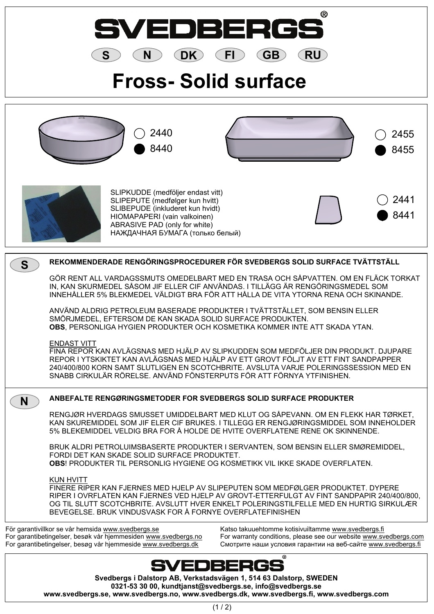

**0321-53 30 00, kundtjanst@svedbergs.se, info@svedbergs.se www.svedbergs.se, www.svedbergs.no, www.svedbergs.dk, www.svedbergs.fi, www.svedbergs.com**